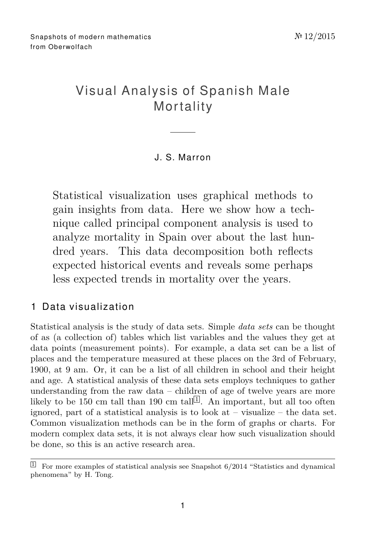# Visual Analysis of Spanish Male **Mortality**

### J. S. Ma r ron

Statistical visualization uses graphical methods to gain insights from data. Here we show how a technique called principal component analysis is used to analyze mortality in Spain over about the last hundred years. This data decomposition both reflects expected historical events and reveals some perhaps less expected trends in mortality over the years.

## 1 Data visualization

Statistical analysis is the study of data sets. Simple *data sets* can be thought of as (a collection of) tables which list variables and the values they get at data points (measurement points). For example, a data set can be a list of places and the temperature measured at these places on the 3rd of February, 1900, at 9 am. Or, it can be a list of all children in school and their height and age. A statistical analysis of these data sets employs techniques to gather understanding from the raw data – children of age of twelve years are more likely to be [1](#page-0-0)50 cm tall than 190 cm tall<sup>[1]</sup>. An important, but all too often ignored, part of a statistical analysis is to look at  $-$  visualize  $-$  the data set. Common visualization methods can be in the form of graphs or charts. For modern complex data sets, it is not always clear how such visualization should be done, so this is an active research area.

<span id="page-0-0"></span> $\boxed{1}$  For more examples of statistical analysis see Snapshot 6/2014 "Statistics and dynamical phenomena" by H. Tong.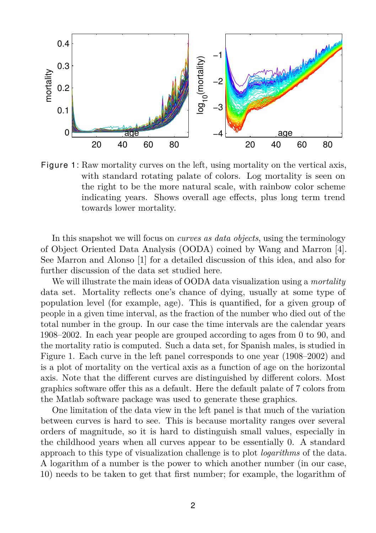

<span id="page-1-0"></span>Figure 1: Raw mortality curves on the left, using mortality on the vertical axis, with standard rotating palate of colors. Log mortality is seen on the right to be the more natural scale, with rainbow color scheme indicating years. Shows overall age effects, plus long term trend towards lower mortality.

In this snapshot we will focus on *curves as data objects*, using the terminology of Object Oriented Data Analysis (OODA) coined by Wang and Marron [\[4\]](#page-6-0). See Marron and Alonso [\[1\]](#page-6-1) for a detailed discussion of this idea, and also for further discussion of the data set studied here.

We will illustrate the main ideas of OODA data visualization using a *mortality* data set. Mortality reflects one's chance of dying, usually at some type of population level (for example, age). This is quantified, for a given group of people in a given time interval, as the fraction of the number who died out of the total number in the group. In our case the time intervals are the calendar years 1908–2002. In each year people are grouped according to ages from 0 to 90, and the mortality ratio is computed. Such a data set, for Spanish males, is studied in Figure [1.](#page-1-0) Each curve in the left panel corresponds to one year (1908–2002) and is a plot of mortality on the vertical axis as a function of age on the horizontal axis. Note that the different curves are distinguished by different colors. Most graphics software offer this as a default. Here the default palate of 7 colors from the Matlab software package was used to generate these graphics.

One limitation of the data view in the left panel is that much of the variation between curves is hard to see. This is because mortality ranges over several orders of magnitude, so it is hard to distinguish small values, especially in the childhood years when all curves appear to be essentially 0. A standard approach to this type of visualization challenge is to plot *logarithms* of the data. A logarithm of a number is the power to which another number (in our case, 10) needs to be taken to get that first number; for example, the logarithm of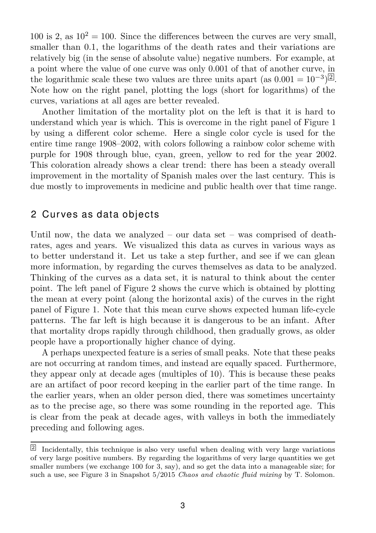100 is 2, as  $10^2 = 100$ . Since the differences between the curves are very small, smaller than 0.1, the logarithms of the death rates and their variations are relatively big (in the sense of absolute value) negative numbers. For example, at a point where the value of one curve was only 0.001 of that of another curve, in the logarithmic scale these two values are three units apart (as  $0.001 = 10^{-3}$ )<sup>[2](#page-2-0)</sup>. Note how on the right panel, plotting the logs (short for logarithms) of the curves, variations at all ages are better revealed.

Another limitation of the mortality plot on the left is that it is hard to understand which year is which. This is overcome in the right panel of Figure [1](#page-1-0) by using a different color scheme. Here a single color cycle is used for the entire time range 1908–2002, with colors following a rainbow color scheme with purple for 1908 through blue, cyan, green, yellow to red for the year 2002. This coloration already shows a clear trend: there has been a steady overall improvement in the mortality of Spanish males over the last century. This is due mostly to improvements in medicine and public health over that time range.

#### 2 Curves as data objects

Until now, the data we analyzed – our data set – was comprised of deathrates, ages and years. We visualized this data as curves in various ways as to better understand it. Let us take a step further, and see if we can glean more information, by regarding the curves themselves as data to be analyzed. Thinking of the curves as a data set, it is natural to think about the center point. The left panel of Figure [2](#page-3-0) shows the curve which is obtained by plotting the mean at every point (along the horizontal axis) of the curves in the right panel of Figure [1.](#page-1-0) Note that this mean curve shows expected human life-cycle patterns. The far left is high because it is dangerous to be an infant. After that mortality drops rapidly through childhood, then gradually grows, as older people have a proportionally higher chance of dying.

A perhaps unexpected feature is a series of small peaks. Note that these peaks are not occurring at random times, and instead are equally spaced. Furthermore, they appear only at decade ages (multiples of 10). This is because these peaks are an artifact of poor record keeping in the earlier part of the time range. In the earlier years, when an older person died, there was sometimes uncertainty as to the precise age, so there was some rounding in the reported age. This is clear from the peak at decade ages, with valleys in both the immediately preceding and following ages.

<span id="page-2-0"></span><sup>&</sup>lt;sup>2</sup> Incidentally, this technique is also very useful when dealing with very large variations of very large positive numbers. By regarding the logarithms of very large quantities we get smaller numbers (we exchange 100 for 3, say), and so get the data into a manageable size; for such a use, see Figure 3 in Snapshot 5/2015 *Chaos and chaotic fluid mixing* by T. Solomon.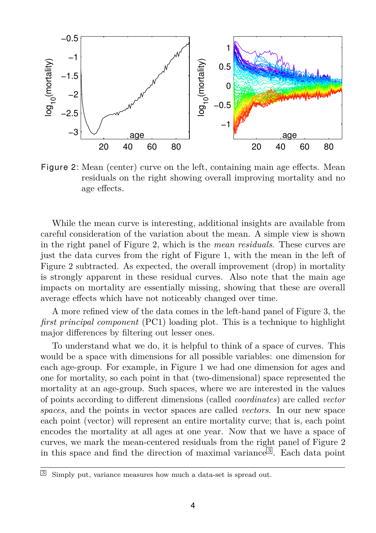

<span id="page-3-0"></span>Figure 2: Mean (center) curve on the left, containing main age effects. Mean residuals on the right showing overall improving mortality and no age effects.

While the mean curve is interesting, additional insights are available from careful consideration of the variation about the mean. A simple view is shown in the right panel of Figure [2,](#page-3-0) which is the *mean residuals*. These curves are just the data curves from the right of Figure [1,](#page-1-0) with the mean in the left of Figure [2](#page-3-0) subtracted. As expected, the overall improvement (drop) in mortality is strongly apparent in these residual curves. Also note that the main age impacts on mortality are essentially missing, showing that these are overall average effects which have not noticeably changed over time.

A more refined view of the data comes in the left-hand panel of Figure [3,](#page-4-0) the *first principal component* (PC1) loading plot. This is a technique to highlight major differences by filtering out lesser ones.

To understand what we do, it is helpful to think of a space of curves. This would be a space with dimensions for all possible variables: one dimension for each age-group. For example, in Figure [1](#page-1-0) we had one dimension for ages and one for mortality, so each point in that (two-dimensional) space represented the mortality at an age-group. Such spaces, where we are interested in the values of points according to different dimensions (called *coordinates*) are called *vector spaces*, and the points in vector spaces are called *vectors*. In our new space each point (vector) will represent an entire mortality curve; that is, each point encodes the mortality at all ages at one year. Now that we have a space of curves, we mark the mean-centered residuals from the right panel of Figure [2](#page-3-0) in this space and find the direction of maximal variance<sup>[[3](#page-3-1)]</sup>. Each data point

<span id="page-3-1"></span><sup>3</sup> Simply put, variance measures how much a data-set is spread out.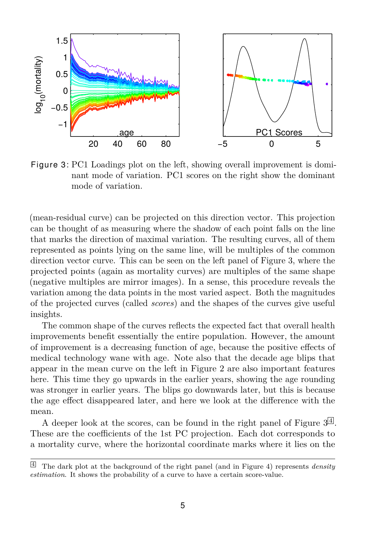

<span id="page-4-0"></span>Figure 3: PC1 Loadings plot on the left, showing overall improvement is dominant mode of variation. PC1 scores on the right show the dominant mode of variation.

(mean-residual curve) can be projected on this direction vector. This projection can be thought of as measuring where the shadow of each point falls on the line that marks the direction of maximal variation. The resulting curves, all of them represented as points lying on the same line, will be multiples of the common direction vector curve. This can be seen on the left panel of Figure [3,](#page-4-0) where the projected points (again as mortality curves) are multiples of the same shape (negative multiples are mirror images). In a sense, this procedure reveals the variation among the data points in the most varied aspect. Both the magnitudes of the projected curves (called *scores*) and the shapes of the curves give useful insights.

The common shape of the curves reflects the expected fact that overall health improvements benefit essentially the entire population. However, the amount of improvement is a decreasing function of age, because the positive effects of medical technology wane with age. Note also that the decade age blips that appear in the mean curve on the left in Figure [2](#page-3-0) are also important features here. This time they go upwards in the earlier years, showing the age rounding was stronger in earlier years. The blips go downwards later, but this is because the age effect disappeared later, and here we look at the difference with the mean.

A deeper look at the scores, can be found in the right panel of Figure  $3^{\lfloor 4 \rfloor}$  $3^{\lfloor 4 \rfloor}$  $3^{\lfloor 4 \rfloor}$ . These are the coefficients of the 1st PC projection. Each dot corresponds to a mortality curve, where the horizontal coordinate marks where it lies on the

<span id="page-4-1"></span><sup>4</sup> The dark plot at the background of the right panel (and in Figure [4\)](#page-5-0) represents *density estimation*. It shows the probability of a curve to have a certain score-value.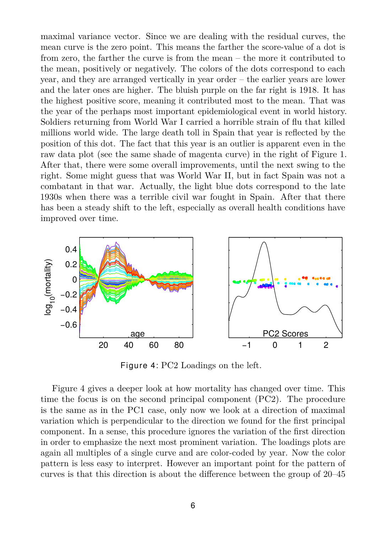maximal variance vector. Since we are dealing with the residual curves, the mean curve is the zero point. This means the farther the score-value of a dot is from zero, the farther the curve is from the mean – the more it contributed to the mean, positively or negatively. The colors of the dots correspond to each year, and they are arranged vertically in year order – the earlier years are lower and the later ones are higher. The bluish purple on the far right is 1918. It has the highest positive score, meaning it contributed most to the mean. That was the year of the perhaps most important epidemiological event in world history. Soldiers returning from World War I carried a horrible strain of flu that killed millions world wide. The large death toll in Spain that year is reflected by the position of this dot. The fact that this year is an outlier is apparent even in the raw data plot (see the same shade of magenta curve) in the right of Figure [1.](#page-1-0) After that, there were some overall improvements, until the next swing to the right. Some might guess that was World War II, but in fact Spain was not a combatant in that war. Actually, the light blue dots correspond to the late 1930s when there was a terrible civil war fought in Spain. After that there has been a steady shift to the left, especially as overall health conditions have improved over time.



<span id="page-5-0"></span>Figure 4: PC2 Loadings on the left.

Figure [4](#page-5-0) gives a deeper look at how mortality has changed over time. This time the focus is on the second principal component (PC2). The procedure is the same as in the PC1 case, only now we look at a direction of maximal variation which is perpendicular to the direction we found for the first principal component. In a sense, this procedure ignores the variation of the first direction in order to emphasize the next most prominent variation. The loadings plots are again all multiples of a single curve and are color-coded by year. Now the color pattern is less easy to interpret. However an important point for the pattern of curves is that this direction is about the difference between the group of 20–45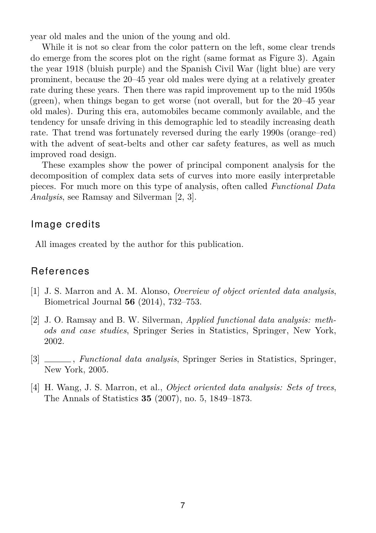year old males and the union of the young and old.

While it is not so clear from the color pattern on the left, some clear trends do emerge from the scores plot on the right (same format as Figure [3\)](#page-4-0). Again the year 1918 (bluish purple) and the Spanish Civil War (light blue) are very prominent, because the 20–45 year old males were dying at a relatively greater rate during these years. Then there was rapid improvement up to the mid 1950s (green), when things began to get worse (not overall, but for the 20–45 year old males). During this era, automobiles became commonly available, and the tendency for unsafe driving in this demographic led to steadily increasing death rate. That trend was fortunately reversed during the early 1990s (orange–red) with the advent of seat-belts and other car safety features, as well as much improved road design.

These examples show the power of principal component analysis for the decomposition of complex data sets of curves into more easily interpretable pieces. For much more on this type of analysis, often called *Functional Data Analysis*, see Ramsay and Silverman [\[2,](#page-6-2) [3\]](#page-6-3).

#### Image credits

All images created by the author for this publication.

#### **References**

- <span id="page-6-1"></span>[1] J. S. Marron and A. M. Alonso, *Overview of object oriented data analysis*, Biometrical Journal **56** (2014), 732–753.
- <span id="page-6-2"></span>[2] J. O. Ramsay and B. W. Silverman, *Applied functional data analysis: methods and case studies*, Springer Series in Statistics, Springer, New York, 2002.
- <span id="page-6-3"></span>[3] , *Functional data analysis*, Springer Series in Statistics, Springer, New York, 2005.
- <span id="page-6-0"></span>[4] H. Wang, J. S. Marron, et al., *Object oriented data analysis: Sets of trees*, The Annals of Statistics **35** (2007), no. 5, 1849–1873.